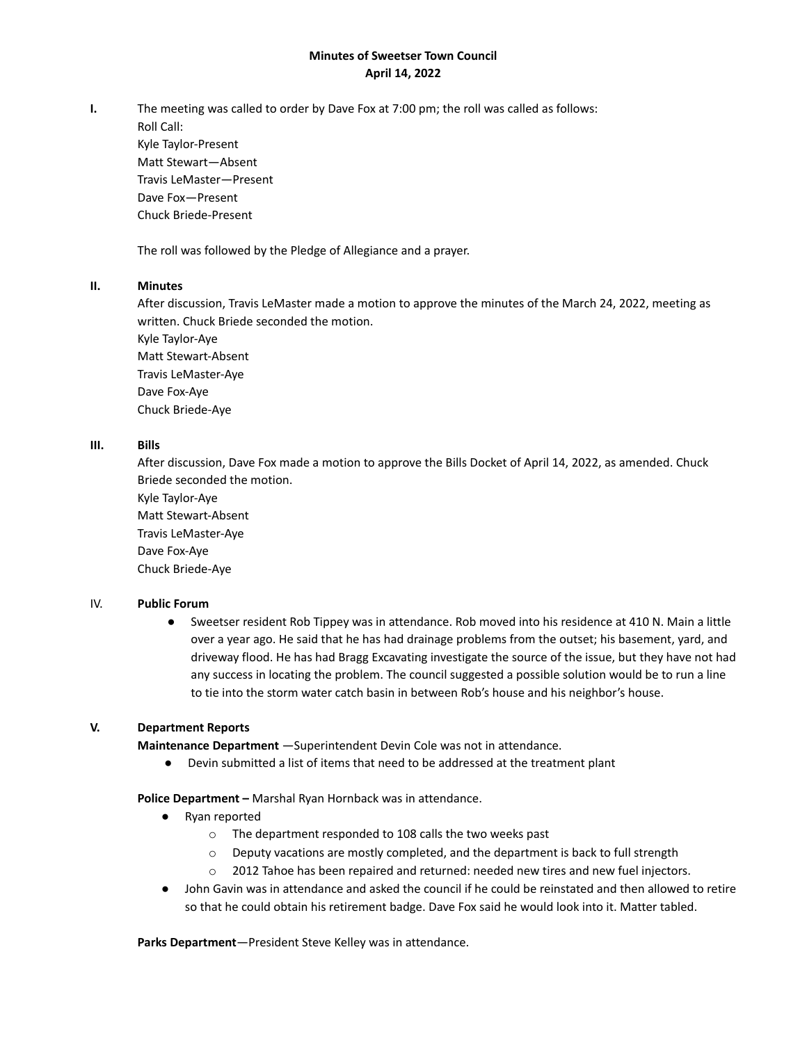# **Minutes of Sweetser Town Council April 14, 2022**

**I.** The meeting was called to order by Dave Fox at 7:00 pm; the roll was called as follows:

Roll Call: Kyle Taylor-Present Matt Stewart—Absent Travis LeMaster—Present Dave Fox—Present Chuck Briede-Present

The roll was followed by the Pledge of Allegiance and a prayer.

### **II. Minutes**

After discussion, Travis LeMaster made a motion to approve the minutes of the March 24, 2022, meeting as written. Chuck Briede seconded the motion.

Kyle Taylor-Aye Matt Stewart-Absent Travis LeMaster-Aye Dave Fox-Aye Chuck Briede-Aye

# **III. Bills**

After discussion, Dave Fox made a motion to approve the Bills Docket of April 14, 2022, as amended. Chuck Briede seconded the motion.

Kyle Taylor-Aye Matt Stewart-Absent Travis LeMaster-Aye Dave Fox-Aye Chuck Briede-Aye

### IV. **Public Forum**

● Sweetser resident Rob Tippey was in attendance. Rob moved into his residence at 410 N. Main a little over a year ago. He said that he has had drainage problems from the outset; his basement, yard, and driveway flood. He has had Bragg Excavating investigate the source of the issue, but they have not had any success in locating the problem. The council suggested a possible solution would be to run a line to tie into the storm water catch basin in between Rob's house and his neighbor's house.

### **V. Department Reports**

**Maintenance Department** —Superintendent Devin Cole was not in attendance.

Devin submitted a list of items that need to be addressed at the treatment plant

**Police Department –** Marshal Ryan Hornback was in attendance.

- Ryan reported
	- o The department responded to 108 calls the two weeks past
	- $\circ$  Deputy vacations are mostly completed, and the department is back to full strength
	- $\circ$  2012 Tahoe has been repaired and returned: needed new tires and new fuel injectors.
- John Gavin was in attendance and asked the council if he could be reinstated and then allowed to retire so that he could obtain his retirement badge. Dave Fox said he would look into it. Matter tabled.

**Parks Department**—President Steve Kelley was in attendance.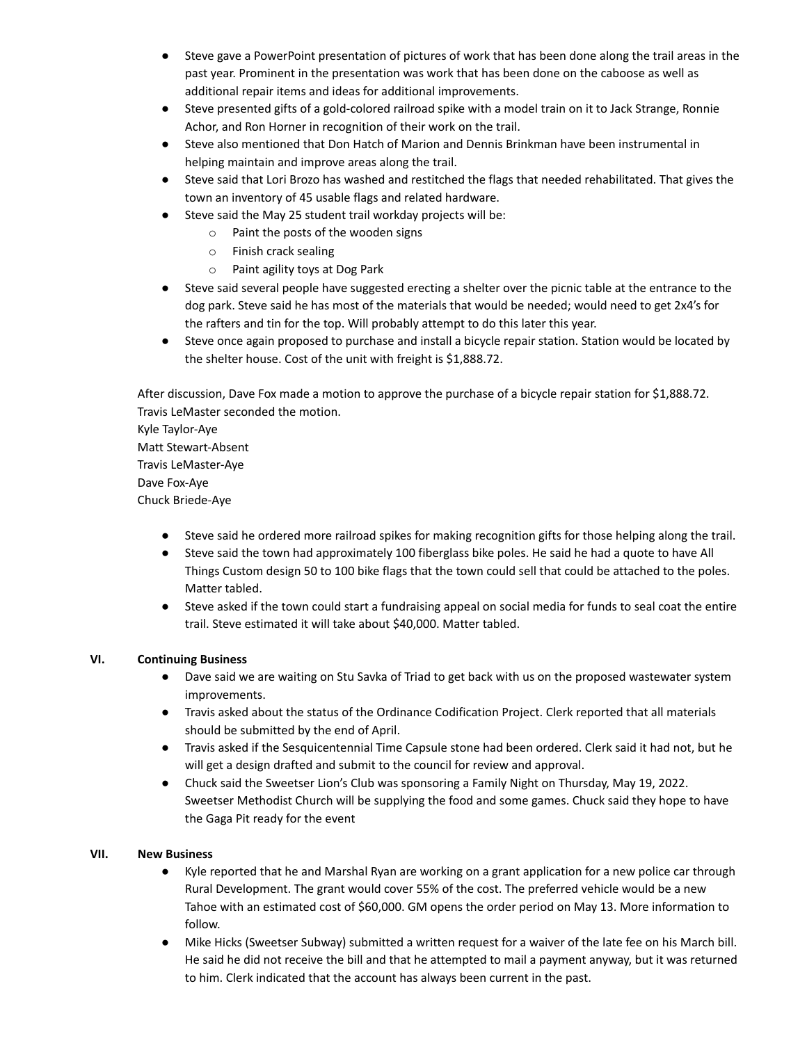- Steve gave a PowerPoint presentation of pictures of work that has been done along the trail areas in the past year. Prominent in the presentation was work that has been done on the caboose as well as additional repair items and ideas for additional improvements.
- Steve presented gifts of a gold-colored railroad spike with a model train on it to Jack Strange, Ronnie Achor, and Ron Horner in recognition of their work on the trail.
- Steve also mentioned that Don Hatch of Marion and Dennis Brinkman have been instrumental in helping maintain and improve areas along the trail.
- Steve said that Lori Brozo has washed and restitched the flags that needed rehabilitated. That gives the town an inventory of 45 usable flags and related hardware.
- Steve said the May 25 student trail workday projects will be:
	- o Paint the posts of the wooden signs
		- o Finish crack sealing
		- o Paint agility toys at Dog Park
- Steve said several people have suggested erecting a shelter over the picnic table at the entrance to the dog park. Steve said he has most of the materials that would be needed; would need to get 2x4's for the rafters and tin for the top. Will probably attempt to do this later this year.
- Steve once again proposed to purchase and install a bicycle repair station. Station would be located by the shelter house. Cost of the unit with freight is \$1,888.72.

After discussion, Dave Fox made a motion to approve the purchase of a bicycle repair station for \$1,888.72. Travis LeMaster seconded the motion.

Kyle Taylor-Aye Matt Stewart-Absent Travis LeMaster-Aye Dave Fox-Aye Chuck Briede-Aye

- Steve said he ordered more railroad spikes for making recognition gifts for those helping along the trail.
- Steve said the town had approximately 100 fiberglass bike poles. He said he had a quote to have All Things Custom design 50 to 100 bike flags that the town could sell that could be attached to the poles. Matter tabled.
- Steve asked if the town could start a fundraising appeal on social media for funds to seal coat the entire trail. Steve estimated it will take about \$40,000. Matter tabled.

### **VI. Continuing Business**

- Dave said we are waiting on Stu Savka of Triad to get back with us on the proposed wastewater system improvements.
- Travis asked about the status of the Ordinance Codification Project. Clerk reported that all materials should be submitted by the end of April.
- Travis asked if the Sesquicentennial Time Capsule stone had been ordered. Clerk said it had not, but he will get a design drafted and submit to the council for review and approval.
- Chuck said the Sweetser Lion's Club was sponsoring a Family Night on Thursday, May 19, 2022. Sweetser Methodist Church will be supplying the food and some games. Chuck said they hope to have the Gaga Pit ready for the event

### **VII. New Business**

- Kyle reported that he and Marshal Ryan are working on a grant application for a new police car through Rural Development. The grant would cover 55% of the cost. The preferred vehicle would be a new Tahoe with an estimated cost of \$60,000. GM opens the order period on May 13. More information to follow.
- Mike Hicks (Sweetser Subway) submitted a written request for a waiver of the late fee on his March bill. He said he did not receive the bill and that he attempted to mail a payment anyway, but it was returned to him. Clerk indicated that the account has always been current in the past.